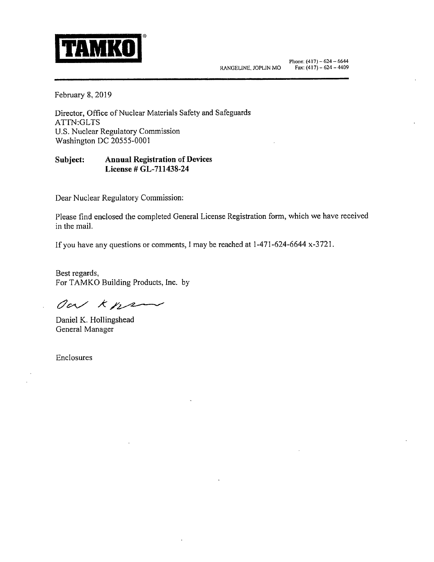

February 8, 2019

Director, Office of Nuclear Materials Safety and Safeguards ATTN:GLTS U.S. Nuclear Regulatory Commission Washington DC 20555-0001

## **Subject: Annual Registration of Devices License# GL-711438-24**

Dear Nuclear Regulatory Commission:

Please find enclosed the completed General License Registration form, which we have received in the mail.

If you have any questions or comments, l may be reached at 1-471-624-6644 x-3721.

Best regards, For TAMKO Building Products, lnc. by

Our Kne

Daniel K. Hollingshead General Manager

Enclosures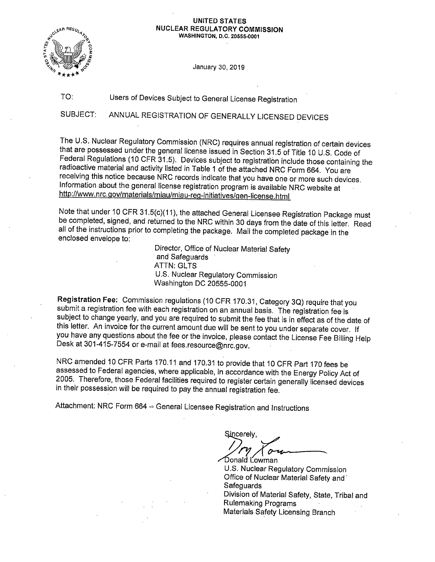#### **UNITED STATES NUCLEAR REGULATORY COMMISSION WASHINGTON, D.C. 20555-0001**



January 30, 2019

#### TO: Users of Devices Subject to General License Registration

SUBJECT: ANNUAL REGISTRATION OF GENERALLY LICENSED DEVICES

The U.S. Nuclear Regulatory Commission (NRC) requires annual registration of certain devices that are possessed under the general license issued in Section 31.5 of Title 10 U.S. Code of Federal Regulations (10 CFR 31.5). Devices subject to registration include those containing the radioactive material and activity listed in Table 1 of the attached NRC Form 664. You are receiving this notice because NRC records indicate that you have one or more such devices. Information about the general license registration program is available NRC website at http://www.nrc.gov/materials/miau/miau-reg-initiatives/gen-license.html

Note that under 10 CFR 31.5(c)(11), the attached General Licensee Registration Package must be completed, signed, and returned to the NRC within 30 days from the date of this letter. Read all of the instructions prior to completing the package. Mail the completed package in the enclosed envelope to:

> Director, Office of Nuclear Material Safety and Safeguards **ATTN: GLTS** U.S. Nuclear Regulatory Commission Washington DC 20555-0001

Registration Fee: Commission regulations (10 CFR 170.31, Category 3Q) require that you submit a registration fee with each registration on an annual basis. The registration fee is subject to change yearly, and you are required to submit the fee that is in effect as of the date of this letter. An invoice for the current amount due will be sent to you under separate cover. If you have any questions about the fee or the invoice, please contact the License Fee Billing Help Desk at 301-415-7554 or e-mail at fees.resource@nrc.gov.

NRC amended 10 CFR Parts 170.11 and 170.31 to provide that 10 CFR Part 170 fees be assessed to Federal agencies, where applicable, in accordance with the Energy Policy Act of 2005. Therefore, those Federal facilities required to register certain generally licensed devices in their possession will be required to pay the annual registration fee.

Attachment: NRC Form 664 - General Licensee Registration and Instructions

Sincerely,  $\vee$ Donald Lowman

U.S. Nuclear Regulatory Commission Office of Nuclear Material Safety and· **Safeguards** Division of Material Safety, State, Tribal and Rulemaking Programs Materials Safety Licensing Branch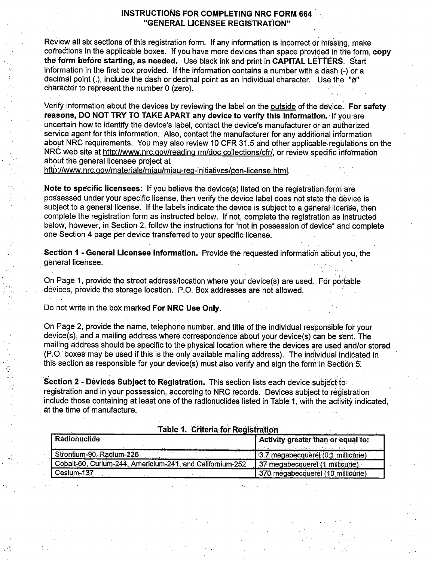## INSTRUCTIONS FOR COMPLETING NRC FORM 664 "GENERAL LICENSEE REGISTRATION"

Review all six sections of this registration form. If any information is incorrect or missing, make corrections in the applicable boxes. If you have more devices than space provided in the form, copy **the form before starting, as needed.** Use black ink and print in **CAPITAL LETfE'RS.** Start information in the first box provided. If the information contains a number with a dash (-) or <sup>a</sup> decimal point (.), include the dash or decimal point as an individual character. Use the "ø" character to represent the number O (zero).

. '

Verify information about the devices by reviewing the label on the outside of the device~ **For safety reasons, DO NOT TRY TO TAKE APART any device to verify this information.** -If you ·are · uncertain how to identify the device's label, contact the device's manufacturer or an authorized service agent for this information. Also, contact the manufacturer for any additional information about NRC requirements. You may also review 10 CFR 31.5 and other applicable regulations on the NRC web site at http://www.nrc.gov/reading rm/doc collections/cfr/, or review specific information about the general licensee project at

http://www.nrc.gov/materials/miau/miau-reg-initiatives/gen-license.html.

**Note to specific licensees:** If you believe the device(s) listed on the registration form are. possessed under your specific license, then verify the device label does not state the device is subject to a general license. If the labels indicate the device is subject to a general license, then complete the registration form as instructed below. If not, complete the registration as· instructed below, however, in Section 2, follow the instructions for "not in possession of device" and complete one Section 4 page per device transferred to your specific license.

**Section 1 - General Licensee Information.** Provide the requested information about you, the general licensee.

·On Page 1, provide the street address/location where your device(s) are used. For portable devices, provide the storage location. P.O. Box addresses are not allowed.

Do not Write in the box marked **For NRC Use Only.** 

', 1.,

On Page 2, provide the name, telephone number, and title of the individual responsible for your device(s), and a mailing address where correspondence about your device(s) can be sent. The mailing address should be specific to the physical location where the devices are used and/or stored '(P;O: boxes may be used if this is the only available mailing address). The individual indi·cated in this section as responsible for your device(s) must also verify and sign the form in Section 5.

**Section 2 - Devices Subject to Registration.** This section lists each device subject to: registration and in your possession, according to NRC records. Devices subject to registration include those containing at least one of the radionuclides listed in Table 1, with the activity indicated, at the time of manufacture.

| $1.471$ $1.1711$ $1.1711$ $1.1711$ $1.1711$ $1.1711$<br><b>Radionuclide</b> | Activity greater than or equal to: |
|-----------------------------------------------------------------------------|------------------------------------|
| Strontium-90, Radium-226                                                    | 3.7 megabecquerel (0.1 millicurie) |
| Cobalt-60, Curium-244, Americium-241, and Californium-252                   | 37 megabecquerel (1 millicurie).   |
| Cesium-137                                                                  | 370 mégabecquerel (10 millicurie)  |

Table 1. Criteria for Registration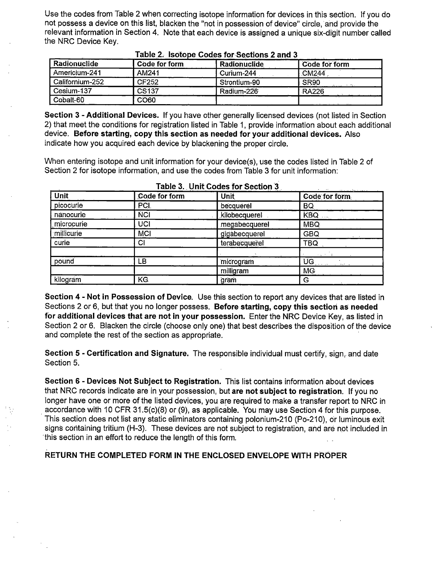Use the codes from Table 2 when correcting isotope information for devices in this section. If you do not possess a device on this list, blacken the "not in possession of device" circle, and provide the relevant information in Section 4. Note that each device is assigned a unique six-digit number called the NRC Device Key.

| Radionuclide    | Code for form    | Radionuclide | Code for form    |
|-----------------|------------------|--------------|------------------|
| Americium-241   | AM241            | Curium-244   | CM244            |
| Californium-252 | CF252            | Strontium-90 | SR <sub>90</sub> |
| Cesium-137      | CS137            | Radium-226   | <b>RA226</b>     |
| Cobalt-60       | $\cdots$<br>CO60 |              |                  |

## **Table 2.** Isotope Codes for Sections 2 and 3

**Section 3** - **Additional Devices.** If you have other generally licensed devices (not listed in Section 2) that meet the conditions for registration listed in Table 1, provide information about each additional device. **Before starting, copy this section as needed for your additional devices.** Also indicate how you acquired each device by blackening the proper circle.

When entering isotope and unit information for your device(s), use the codes listed in Table 2 of Section 2 for isotope information, and use the codes from Table 3 for unit information:

| <b>Unit</b> | Code for form | <b>Unit</b>   | الواسيون المنطق مالوديد مدا<br>Code for form                          |
|-------------|---------------|---------------|-----------------------------------------------------------------------|
| picocurie   | PCI.          | becquerel     | BQ.                                                                   |
| nanocurie   | <b>NCI</b>    | kilobecquerel | KBQ                                                                   |
| microcurie  | UCI           | megabecquerel | <b>MBQ</b>                                                            |
| millicurie  | <b>MCI</b>    | gigabecquerel | <b>GBQ</b>                                                            |
| curie       | CI            | terabecquerel | TBQ                                                                   |
|             |               |               | 医空气性 计数                                                               |
| pound       | LВ            | microgram     | $\overline{\mathsf{UG}}$ , we have the set of $\overline{\mathsf{U}}$ |
|             |               | milligram     | <b>MG</b>                                                             |
| kilogram    | KG.           | gram          | G                                                                     |

**Table 3. Unit Codes for Section ·3** • ..

**Section 4** - **Not in Possession of Device.** Use this section to report any devices that are listed in Sections 2 or 6, but that you no longer possess. **Before starting, copy this section as needed for additional devices that are not in your possession.** Enter the NRC Device Key, as listed in Section 2 or 6. Blacken the circle (choose only one) that best describes the disposition of the device and complete the rest of the section as appropriate.

**Section 5** - **Certification and Signature.** The responsible individual must certify, sign, and date Section 5.

**Section 6** - **Devices Not Subject to Registration.** This list contains information about devices that NRC records indicate are in your possession, but **are not subject to registration.** If you no longer have one or more of the listed devices, you are required to make a transfer report to NRC in . accordance with 10 CFR 31.5(c)(8) or (9), as applicable. You may use Section 4 for this purpose. This section does not list any static eliminators containing polonium-210 (Po-210), or luminous exit signs containing tritium (H-3). These devices are not subject to registration, and are not included in this section in an effort to reduce the length of this form.

**RETURN THE COMPLETED FORM IN THE ENCLOSED ENVELOPE WITH PROPER**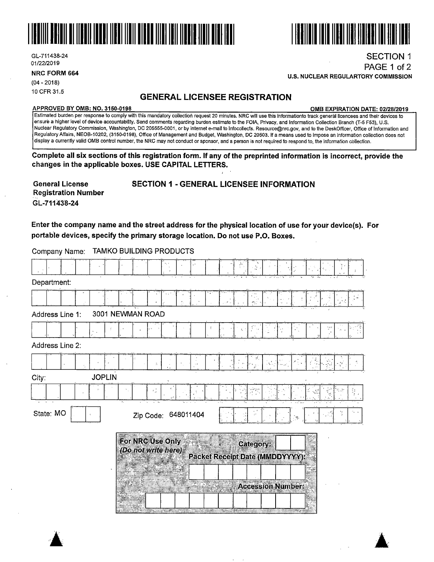

GL-711438-24 01/22/2019

**NRC FORM 664** 

(04 - 2018) 10 CFR 31.5

# **GENERAL LICENSEE REGISTRATION**

#### **APPROVED BY 0MB: NO. 3150-0198**

**0MB EXPIRATION DATE: 02/28/2019** 

SECTION 1 PAGE 1 of 2

Estimated burden per response to comply with this mandatory collection request 20 minutes. NRG will use this informationto track general licencees and their devices to ensure a higher level of device accountability. Send comments regarding burden estimate to the FOIA, Privacy, and Information Collection Branch (T-5 F53), U.S. Nuclear Regulatory Commission, Washington, DC 205555-0001, or by internet e-mail to lnfocollects. Resource@nrc.gov, and to the DeskOfficer, Office of Information and Regulatory Affairs, NEOB-10202, (3150-0198), Office of Management and Budget, Washington, DC 20503. If a means used to impose an information collection does not display a currently valid 0MB control number, the NRG may not conduct or sponsor, and a person is not required to respond to, the information collection.

**Complete all six sections of this registration form. If any of the preprinted information is incorrect, provide the changes in the applicable boxes. USE CAPITAL LETTERS.** 

**General License Registration Number GL-71143.8-24** 

## **SECTION 1** - **GENERAL LICENSEE INFORMATION**

**Enter the company name and the street address for the physical location of use for your device(s). For portable devices, specify the primary storage location. Do not use P .0. Boxes.** 

Company Name: TAMKO BUILDING PRODUCTS

|                        |                                         |    | ۰,                                                  |   |
|------------------------|-----------------------------------------|----|-----------------------------------------------------|---|
| Department:            |                                         |    |                                                     |   |
|                        |                                         |    |                                                     |   |
| Address Line 1:        | 3001 NEWMAN ROAD                        |    |                                                     |   |
|                        |                                         |    |                                                     |   |
| Address Line 2:        |                                         |    |                                                     |   |
|                        | A.                                      |    | $\mathcal{S}_{\mathbf{y}+1}$                        |   |
| <b>JOPLIN</b><br>City: |                                         |    |                                                     |   |
|                        |                                         |    | अक्षेत्रपूर<br>पु                                   | ł |
| State: MO              | Zip Code: 648011404                     |    |                                                     |   |
|                        | For NRC Use Only<br>(Do not write here) |    | Category:<br><b>Packet Receipt Date (MMDDYYYY):</b> |   |
|                        |                                         | 38 | Accession Number:                                   |   |



**U.S. NUCLEAR REGULARTORY COMMISSION**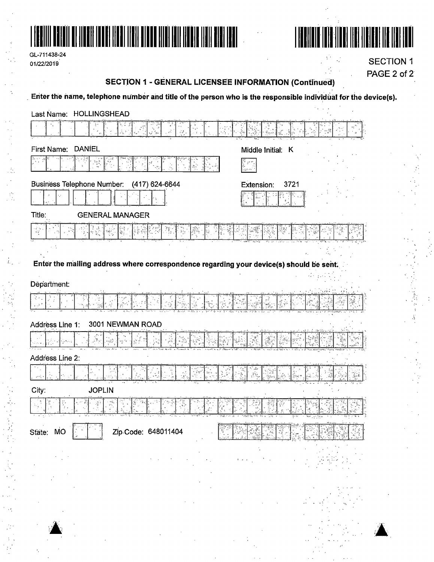

| GL-711438-24 |
|--------------|
| 01/22/2019   |



**SECTION 1** PAGE 2 of 2

## **SECTION 1 - GENERAL LICENSEE INFORMATION (Continued)**

Enter the name, telephone number and title of the person who is the responsible individual for the device(s).

| Last Name: HOLLINGSHEAD                                                                 |                                                  |      |
|-----------------------------------------------------------------------------------------|--------------------------------------------------|------|
| žň.<br>$\mathcal{Z}^{\bullet}$                                                          |                                                  | ** 發 |
| <b>DANIEL</b><br>First Name:                                                            | Middle Initial: K                                |      |
|                                                                                         |                                                  |      |
| <b>Business Telephone Number:</b><br>(417) 624-6644                                     | 3721<br>Extension:                               |      |
|                                                                                         |                                                  |      |
| Title:<br><b>GENERAL MANAGER</b>                                                        |                                                  |      |
| 다른 도<br>1968년                                                                           |                                                  |      |
|                                                                                         |                                                  |      |
| Enter the mailing address where correspondence regarding your device(s) should be sent. |                                                  |      |
|                                                                                         |                                                  |      |
| Départment:                                                                             |                                                  |      |
|                                                                                         |                                                  |      |
| 3001 NEWMAN ROAD<br>Address Line 1:                                                     |                                                  |      |
|                                                                                         |                                                  |      |
| Address Line 2:                                                                         |                                                  |      |
| r gay<br>List<br>يتحصر                                                                  |                                                  |      |
| City:<br><b>JOPLIN</b>                                                                  |                                                  |      |
| 총                                                                                       |                                                  |      |
| কারতে ৰ                                                                                 | <u>বিজ্ঞান বাদকাজিক বিজ্ঞানী</u> এক বিজ্ঞানী কৰি |      |
| Zip Code: 648011404<br>State: MO                                                        |                                                  |      |
|                                                                                         |                                                  |      |
|                                                                                         |                                                  |      |
|                                                                                         |                                                  |      |
|                                                                                         |                                                  |      |
|                                                                                         |                                                  |      |
|                                                                                         |                                                  |      |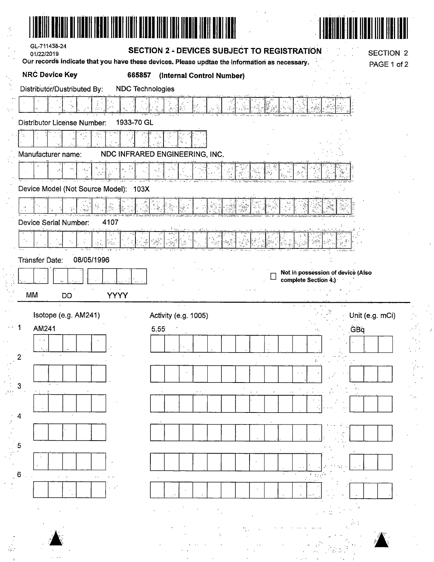|    | GL-711438-24<br>01/22/2019                                                                                             |                         | <b>SECTION 2 - DEVICES SUBJECT TO REGISTRATION</b> |    | <b>SECTION 2</b>                                          |  |
|----|------------------------------------------------------------------------------------------------------------------------|-------------------------|----------------------------------------------------|----|-----------------------------------------------------------|--|
|    | Our records indicate that you have these devices. Please updtae the information as necessary.<br><b>NRC Device Key</b> | 665857                  | (Internal Control Number)                          |    | PAGE 1 of 2                                               |  |
|    | Distributor/Dustributed By:                                                                                            | <b>NDC Technologies</b> |                                                    |    |                                                           |  |
|    |                                                                                                                        |                         |                                                    | i. |                                                           |  |
|    | Distributor License Number:                                                                                            | 1933-70 GL              |                                                    |    |                                                           |  |
|    |                                                                                                                        |                         |                                                    |    |                                                           |  |
|    | Manufacturer name:                                                                                                     |                         | NDC INFRARED ENGINEERING, INC.                     |    |                                                           |  |
|    |                                                                                                                        |                         |                                                    |    |                                                           |  |
|    | Device Model (Not Source Model): 103X                                                                                  |                         |                                                    |    |                                                           |  |
|    |                                                                                                                        |                         |                                                    |    |                                                           |  |
|    | Device Serial Number:<br>4107                                                                                          |                         |                                                    |    |                                                           |  |
|    |                                                                                                                        |                         |                                                    |    |                                                           |  |
|    | 08/05/1996<br>Transfer Date:                                                                                           |                         |                                                    |    |                                                           |  |
|    |                                                                                                                        |                         |                                                    |    | Not in possession of device (Also<br>complete Section 4.) |  |
|    |                                                                                                                        |                         |                                                    |    |                                                           |  |
| MM | DD                                                                                                                     | <b>YYYY</b>             |                                                    |    |                                                           |  |
|    |                                                                                                                        |                         |                                                    |    |                                                           |  |
|    | Isotope (e.g. AM241)<br>AM241                                                                                          | 5.55                    | Activity (e.g. 1005)                               |    | Unit (e.g. mCi)<br><b>GBa</b>                             |  |
|    |                                                                                                                        |                         |                                                    |    |                                                           |  |
|    |                                                                                                                        |                         |                                                    |    |                                                           |  |
|    |                                                                                                                        |                         |                                                    |    |                                                           |  |
| 3  |                                                                                                                        |                         |                                                    |    |                                                           |  |
| 4  | $\sim$                                                                                                                 |                         |                                                    |    |                                                           |  |
|    |                                                                                                                        |                         |                                                    |    |                                                           |  |
| 5  |                                                                                                                        |                         |                                                    |    |                                                           |  |
|    |                                                                                                                        |                         |                                                    |    |                                                           |  |
| 6  | $\sim$ $\sim$                                                                                                          |                         |                                                    |    |                                                           |  |
|    |                                                                                                                        |                         |                                                    |    |                                                           |  |
|    |                                                                                                                        |                         |                                                    |    |                                                           |  |
|    |                                                                                                                        |                         |                                                    |    |                                                           |  |
|    |                                                                                                                        |                         |                                                    |    |                                                           |  |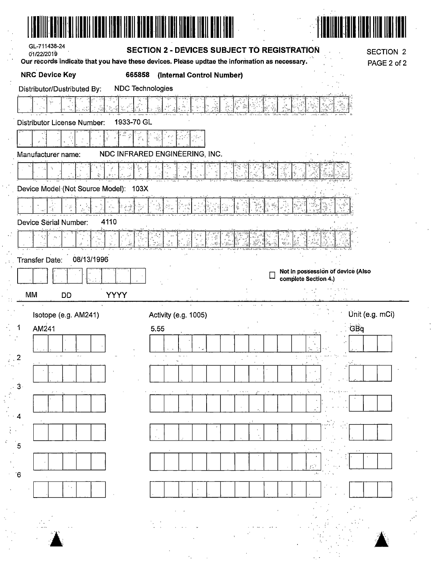| GL-711438-24<br>01/22/2019                             | SECTION 2 - DEVICES SUBJECT TO REGISTRATION<br>Our records indicate that you have these devices. Please updtae the information as necessary. | <b>SECTION 2</b><br>PAGE 2 of 2   |
|--------------------------------------------------------|----------------------------------------------------------------------------------------------------------------------------------------------|-----------------------------------|
| <b>NRC Device Key</b><br>665858                        | (Internal Control Number)                                                                                                                    |                                   |
| <b>NDC Technologies</b><br>Distributor/Dustributed By: |                                                                                                                                              |                                   |
|                                                        |                                                                                                                                              |                                   |
| 1933-70 GL<br><b>Distributor License Number:</b>       |                                                                                                                                              |                                   |
| ğñ.                                                    |                                                                                                                                              |                                   |
| Manufacturer name:                                     | NDC INFRARED ENGINEERING, INC.                                                                                                               |                                   |
|                                                        |                                                                                                                                              |                                   |
| 豪<br>Device Model (Not Source Model): 103X             |                                                                                                                                              |                                   |
| $\frac{v}{n_1w_2}$                                     |                                                                                                                                              |                                   |
| 4110<br>Device Serial Number:                          |                                                                                                                                              |                                   |
| 43                                                     |                                                                                                                                              |                                   |
|                                                        | ý<br>, 1<br>樂主                                                                                                                               |                                   |
| 08/13/1996<br><b>Transfer Date:</b>                    |                                                                                                                                              | Not in possession of device (Also |
|                                                        |                                                                                                                                              | complete Section 4.)              |
| <b>YYYY</b><br>MM<br><b>DD</b>                         |                                                                                                                                              |                                   |
|                                                        |                                                                                                                                              |                                   |
| Isotope (e.g. AM241)                                   | Activity (e.g. 1005)                                                                                                                         | Unit (e.g. mCi)                   |
| AM241                                                  | 5.55                                                                                                                                         | GBq                               |
|                                                        |                                                                                                                                              |                                   |
| $\sim$<br>2                                            |                                                                                                                                              |                                   |
|                                                        |                                                                                                                                              |                                   |
| $3 -$                                                  |                                                                                                                                              |                                   |
|                                                        |                                                                                                                                              |                                   |
| 4                                                      |                                                                                                                                              |                                   |
|                                                        |                                                                                                                                              |                                   |
| 5                                                      |                                                                                                                                              |                                   |
| $6^{\circ}$                                            |                                                                                                                                              | , г.                              |
|                                                        |                                                                                                                                              |                                   |
|                                                        |                                                                                                                                              |                                   |
|                                                        |                                                                                                                                              |                                   |
|                                                        |                                                                                                                                              |                                   |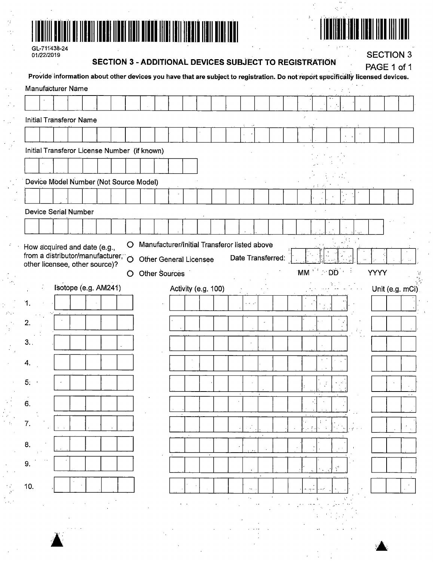



| GL-711438-24 |
|--------------|
| 01/22/2019   |

# SECTION 3 - ADDITIONAL DEVICES SUBJECT TO REGISTRATION

**SECTION 3** 

|      |                                                                   |  |  |   | <b>- ADDITIONAL DEVICES SUBJECT TO REGIOTIVATION</b> |  |  |                     |                         |                   |          |      |  |               | Provide information about other devices you have that are subject to registration. Do not report specifically licensed devices. | PAGE 1 of 1      |
|------|-------------------------------------------------------------------|--|--|---|------------------------------------------------------|--|--|---------------------|-------------------------|-------------------|----------|------|--|---------------|---------------------------------------------------------------------------------------------------------------------------------|------------------|
|      | Manufacturer Name                                                 |  |  |   |                                                      |  |  |                     |                         |                   |          |      |  |               |                                                                                                                                 |                  |
|      |                                                                   |  |  |   |                                                      |  |  |                     |                         |                   |          |      |  |               |                                                                                                                                 |                  |
|      | Initial Transferor Name                                           |  |  |   |                                                      |  |  |                     |                         |                   |          |      |  |               |                                                                                                                                 |                  |
|      |                                                                   |  |  |   |                                                      |  |  |                     |                         |                   |          |      |  |               |                                                                                                                                 |                  |
|      |                                                                   |  |  |   | Initial Transferor License Number (if known)         |  |  |                     |                         |                   |          |      |  |               |                                                                                                                                 |                  |
|      |                                                                   |  |  |   |                                                      |  |  |                     |                         |                   |          |      |  |               |                                                                                                                                 |                  |
|      |                                                                   |  |  |   | Device Model Number (Not Source Model)               |  |  |                     |                         |                   |          |      |  |               |                                                                                                                                 |                  |
|      |                                                                   |  |  |   |                                                      |  |  |                     |                         |                   |          |      |  |               |                                                                                                                                 |                  |
|      | Device Serial Number                                              |  |  |   |                                                      |  |  |                     |                         |                   |          |      |  |               |                                                                                                                                 |                  |
|      |                                                                   |  |  |   |                                                      |  |  |                     |                         |                   |          |      |  |               |                                                                                                                                 |                  |
|      |                                                                   |  |  | Ő | Manufacturer/Initial Transferor listed above         |  |  |                     |                         |                   |          |      |  |               |                                                                                                                                 |                  |
|      | low acquired and date (e.g.,<br>rom a distributor/manufacturer, O |  |  |   | <b>Other General Licensee</b>                        |  |  |                     |                         | Date Transferred: |          |      |  |               |                                                                                                                                 |                  |
|      | ther licensee, other source)?                                     |  |  | O | Other Sources                                        |  |  |                     |                         |                   | $MM$ $D$ |      |  | $\rightarrow$ | <b>YYYY</b>                                                                                                                     |                  |
|      | Isotope (e.g. AM241)                                              |  |  |   |                                                      |  |  | Activity (e.g. 100) |                         |                   |          |      |  |               |                                                                                                                                 | Unit (e.g. mCi)  |
| 1.   |                                                                   |  |  |   |                                                      |  |  |                     | $\alpha$ , and $\alpha$ |                   |          |      |  |               |                                                                                                                                 |                  |
|      |                                                                   |  |  |   |                                                      |  |  |                     |                         |                   |          |      |  |               |                                                                                                                                 |                  |
| 2.   |                                                                   |  |  |   |                                                      |  |  |                     |                         |                   |          |      |  |               |                                                                                                                                 |                  |
| 3. . |                                                                   |  |  |   |                                                      |  |  |                     |                         |                   |          | ×    |  |               |                                                                                                                                 |                  |
| 4.   |                                                                   |  |  |   |                                                      |  |  |                     |                         |                   |          | $\,$ |  |               |                                                                                                                                 |                  |
|      |                                                                   |  |  |   |                                                      |  |  |                     |                         |                   |          |      |  |               |                                                                                                                                 |                  |
|      |                                                                   |  |  |   |                                                      |  |  |                     |                         |                   |          |      |  |               |                                                                                                                                 | $\sim$ $\lambda$ |
| З.   |                                                                   |  |  |   |                                                      |  |  |                     |                         |                   |          |      |  |               |                                                                                                                                 |                  |
| 7.   |                                                                   |  |  |   |                                                      |  |  |                     |                         |                   |          |      |  |               |                                                                                                                                 |                  |
|      |                                                                   |  |  |   |                                                      |  |  |                     |                         |                   |          |      |  |               |                                                                                                                                 |                  |
|      |                                                                   |  |  |   |                                                      |  |  |                     |                         |                   |          |      |  |               |                                                                                                                                 |                  |
|      |                                                                   |  |  |   |                                                      |  |  |                     |                         |                   |          |      |  |               |                                                                                                                                 |                  |
|      |                                                                   |  |  |   |                                                      |  |  |                     |                         |                   |          |      |  |               |                                                                                                                                 |                  |
| ΙO.  |                                                                   |  |  |   |                                                      |  |  |                     | $\kappa_{\rm A}$ .      |                   |          |      |  |               |                                                                                                                                 |                  |
|      |                                                                   |  |  |   |                                                      |  |  |                     |                         |                   |          |      |  |               |                                                                                                                                 |                  |
|      |                                                                   |  |  |   |                                                      |  |  |                     |                         |                   |          |      |  |               |                                                                                                                                 |                  |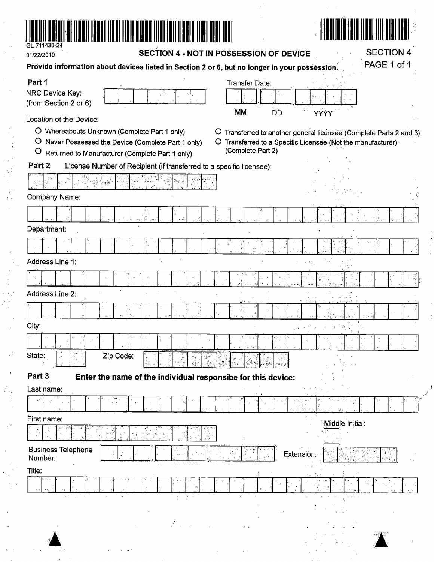

 $\mathbf{r} = \mathbf{r} \mathbf{r}$  :

01/22/2019

SECTION 4 - NOT IN POSSESSION OF DEVICE

**SECTION 4** 

 $\frac{1}{\epsilon}$ 

 $\bar{J}$ 

| Provide information about devices listed in Section 2 or 6, but no longer in your possession.                   | PAGE 1 of 1                                                                      |
|-----------------------------------------------------------------------------------------------------------------|----------------------------------------------------------------------------------|
| Part 1                                                                                                          | <b>Transfer Date:</b>                                                            |
| NRC Device Key:                                                                                                 |                                                                                  |
| (from Section 2 or 6)                                                                                           | <b>MM</b><br><b>DD</b><br>YYÝY                                                   |
| Location of the Device:                                                                                         |                                                                                  |
| O Whereabouts Unknown (Complete Part 1 only)<br>$\mathbf{O}$                                                    | Transferred to another general licensee (Complete Parts 2 and 3)<br>$\circ$      |
| Never Possessed the Device (Complete Part 1 only)<br>$\circ$<br>Returned to Manufacturer (Complete Part 1 only) | O Transferred to a Specific Licensee (Not the manufacturer)<br>(Complete Part 2) |
| Part 2<br>License Number of Recipient (if transferred to a specific licensee):                                  |                                                                                  |
|                                                                                                                 |                                                                                  |
| Company Name:                                                                                                   |                                                                                  |
|                                                                                                                 |                                                                                  |
| Department:                                                                                                     |                                                                                  |
|                                                                                                                 |                                                                                  |
|                                                                                                                 |                                                                                  |
| Address Line 1:                                                                                                 |                                                                                  |
|                                                                                                                 |                                                                                  |
| Address Line 2:                                                                                                 |                                                                                  |
|                                                                                                                 |                                                                                  |
| City:                                                                                                           |                                                                                  |
|                                                                                                                 |                                                                                  |
| State:<br>Zip Code:                                                                                             |                                                                                  |
| Part 3                                                                                                          |                                                                                  |
| Enter the name of the individual responsibe for this device:<br>Last name:                                      |                                                                                  |
|                                                                                                                 |                                                                                  |
| First name:                                                                                                     |                                                                                  |
| 容式                                                                                                              | Middle Initial:                                                                  |
| <b>Business Telephone</b><br>Number:                                                                            | Ŕ.<br>Extension:                                                                 |
| Title:                                                                                                          |                                                                                  |
|                                                                                                                 |                                                                                  |
| ÷.                                                                                                              | A                                                                                |
|                                                                                                                 |                                                                                  |
| Ж                                                                                                               |                                                                                  |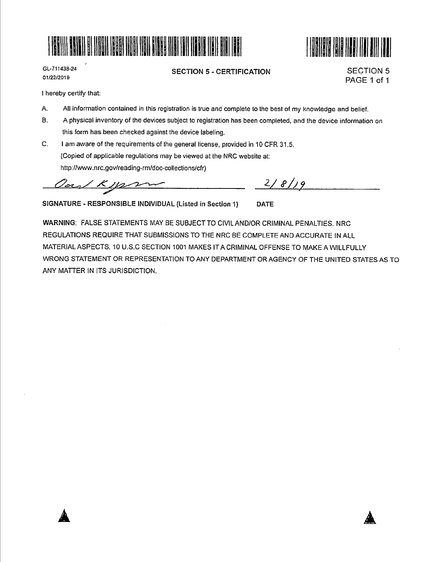



GL-711438-24 01/22/2019

**SECTION 5** - **CERTIFICATION** 

SECTION 5 PAGE 1 of 1

I hereby certify that:

- A. All information contained in this registration is true and complete to the best of my knowledge and belief.
- 8. A physical inventory of the devices subject to registration has been completed, and the device information on this form has been checked against the device labeling.
- C. I am aware of the requirements of the general license, provided in 10 CFR 31.5. {Copied of applicable regulations may be viewed at the NRC website at: http://www.nrc.gov/reading-rm/doc-collections/cfr)

Carl Kyps

 $2/8/9$ 

SIGNATURE - RESPONSIBLE INDIVIDUAL (Listed in Section 1) DATE

**WARNING:** FALSE STATEMENTS MAY BE SUBJECT TO CIVILAND/OR CRIMINAL PENALTIES. NRC REGULATIONS REQUIRE THAT SUBMISSIONS TO THE NRC BE COMPLETE AND ACCURATE IN ALL MATERIAL ASPECTS. 10 U.S.C SECTION 1001 MAKES IT A CRIMINAL OFFENSE TO MAKE A WILLFULLY WRONG STATEMENT OR REPRESENTATION TO ANY DEPARTMENT OR AGENCY OF THE UNITED STATES AS TO ANY MATTER IN ITS JURISDICTION.